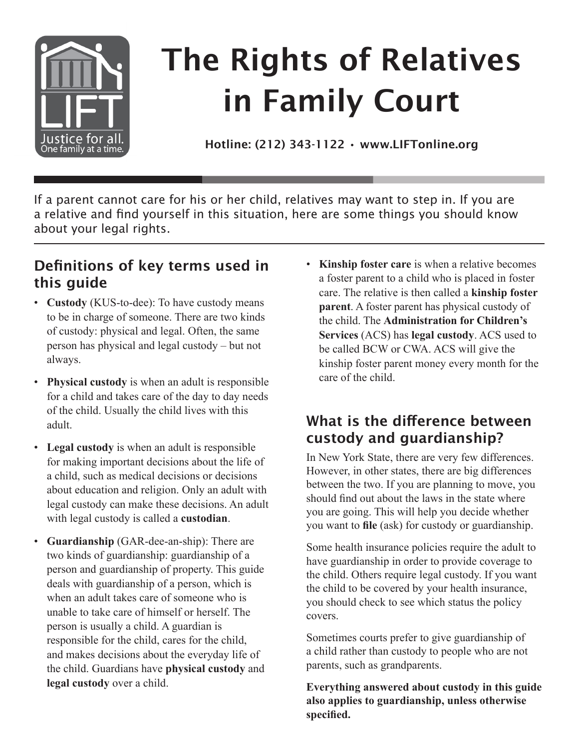

# The Rights of Relatives in Family Court

Hotline: (212) 343-1122 • www.LIFTonline.org

If a parent cannot care for his or her child, relatives may want to step in. If you are a relative and find yourself in this situation, here are some things you should know about your legal rights.

## **Definitions of key terms used in this guide**

- • **Custody** (KUS-to-dee): To have custody means to be in charge of someone. There are two kinds of custody: physical and legal. Often, the same person has physical and legal custody – but not always.
- • **Physical custody** is when an adult is responsible for a child and takes care of the day to day needs of the child. Usually the child lives with this adult.
- **Legal custody** is when an adult is responsible for making important decisions about the life of a child, such as medical decisions or decisions about education and religion. Only an adult with legal custody can make these decisions. An adult with legal custody is called a **custodian**.
- • **Guardianship** (GAR-dee-an-ship): There are two kinds of guardianship: guardianship of a person and guardianship of property. This guide deals with guardianship of a person, which is when an adult takes care of someone who is unable to take care of himself or herself. The person is usually a child. A guardian is responsible for the child, cares for the child, and makes decisions about the everyday life of the child. Guardians have **physical custody** and **legal custody** over a child.

• **Kinship foster care** is when a relative becomes a foster parent to a child who is placed in foster care. The relative is then called a **kinship foster parent**. A foster parent has physical custody of the child. The **Administration for Children's Services** (ACS) has **legal custody**. ACS used to be called BCW or CWA. ACS will give the kinship foster parent money every month for the care of the child.

#### **What is the difference between custody and guardianship?**

In New York State, there are very few differences. However, in other states, there are big differences between the two. If you are planning to move, you should find out about the laws in the state where you are going. This will help you decide whether you want to **file** (ask) for custody or guardianship.

Some health insurance policies require the adult to have guardianship in order to provide coverage to the child. Others require legal custody. If you want the child to be covered by your health insurance, you should check to see which status the policy covers.

Sometimes courts prefer to give guardianship of a child rather than custody to people who are not parents, such as grandparents.

**Everything answered about custody in this guide also applies to guardianship, unless otherwise specified.**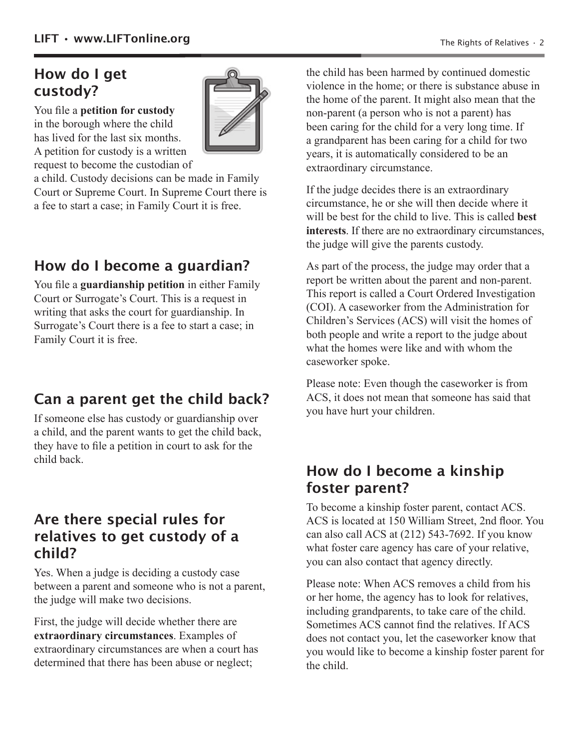# **How do I get custody?**

You file a **petition for custody** in the borough where the child has lived for the last six months. A petition for custody is a written



request to become the custodian of a child. Custody decisions can be made in Family

Court or Supreme Court. In Supreme Court there is a fee to start a case; in Family Court it is free.

# **How do I become a guardian?**

You file a **guardianship petition** in either Family Court or Surrogate's Court. This is a request in writing that asks the court for guardianship. In Surrogate's Court there is a fee to start a case; in Family Court it is free.

## **Can a parent get the child back?**

If someone else has custody or guardianship over a child, and the parent wants to get the child back, they have to file a petition in court to ask for the child back.

#### **Are there special rules for relatives to get custody of a child?**

Yes. When a judge is deciding a custody case between a parent and someone who is not a parent, the judge will make two decisions.

First, the judge will decide whether there are **extraordinary circumstances**. Examples of extraordinary circumstances are when a court has determined that there has been abuse or neglect;

the child has been harmed by continued domestic violence in the home; or there is substance abuse in the home of the parent. It might also mean that the non-parent (a person who is not a parent) has been caring for the child for a very long time. If a grandparent has been caring for a child for two years, it is automatically considered to be an extraordinary circumstance.

If the judge decides there is an extraordinary circumstance, he or she will then decide where it will be best for the child to live. This is called **best interests**. If there are no extraordinary circumstances, the judge will give the parents custody.

As part of the process, the judge may order that a report be written about the parent and non-parent. This report is called a Court Ordered Investigation (COI). A caseworker from the Administration for Children's Services (ACS) will visit the homes of both people and write a report to the judge about what the homes were like and with whom the caseworker spoke.

Please note: Even though the caseworker is from ACS, it does not mean that someone has said that you have hurt your children.

## **How do I become a kinship foster parent?**

To become a kinship foster parent, contact ACS. ACS is located at 150 William Street, 2nd floor. You can also call ACS at (212) 543-7692. If you know what foster care agency has care of your relative, you can also contact that agency directly.

Please note: When ACS removes a child from his or her home, the agency has to look for relatives, including grandparents, to take care of the child. Sometimes ACS cannot find the relatives. If ACS does not contact you, let the caseworker know that you would like to become a kinship foster parent for the child.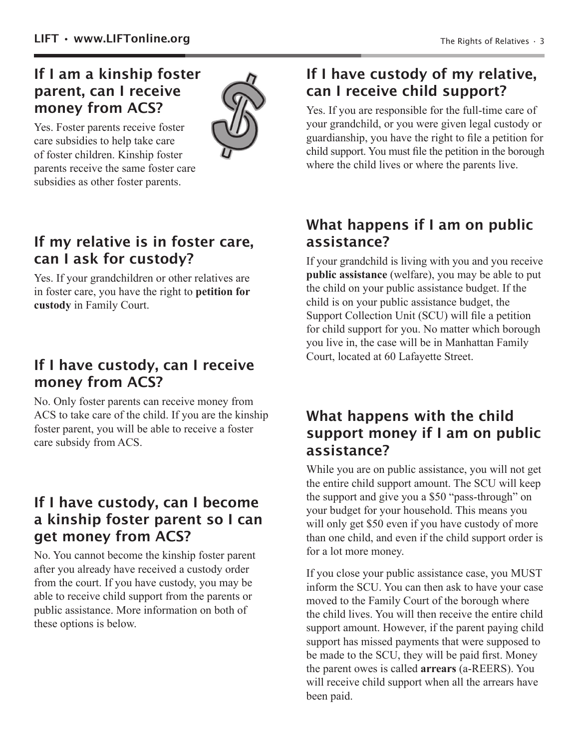#### **If I am a kinship foster parent, can I receive money from ACS?**

Yes. Foster parents receive foster care subsidies to help take care of foster children. Kinship foster parents receive the same foster care subsidies as other foster parents.



#### **If my relative is in foster care, can I ask for custody?**

Yes. If your grandchildren or other relatives are in foster care, you have the right to **petition for custody** in Family Court.

#### **If I have custody, can I receive money from ACS?**

No. Only foster parents can receive money from ACS to take care of the child. If you are the kinship foster parent, you will be able to receive a foster care subsidy from ACS.

#### **If I have custody, can I become a kinship foster parent so I can get money from ACS?**

No. You cannot become the kinship foster parent after you already have received a custody order from the court. If you have custody, you may be able to receive child support from the parents or public assistance. More information on both of these options is below.

## **If I have custody of my relative, can I receive child support?**

Yes. If you are responsible for the full-time care of your grandchild, or you were given legal custody or guardianship, you have the right to file a petition for child support. You must file the petition in the borough where the child lives or where the parents live.

#### **What happens if I am on public assistance?**

If your grandchild is living with you and you receive **public assistance** (welfare), you may be able to put the child on your public assistance budget. If the child is on your public assistance budget, the Support Collection Unit (SCU) will file a petition for child support for you. No matter which borough you live in, the case will be in Manhattan Family Court, located at 60 Lafayette Street.

#### **What happens with the child support money if I am on public assistance?**

While you are on public assistance, you will not get the entire child support amount. The SCU will keep the support and give you a \$50 "pass-through" on your budget for your household. This means you will only get \$50 even if you have custody of more than one child, and even if the child support order is for a lot more money.

If you close your public assistance case, you MUST inform the SCU. You can then ask to have your case moved to the Family Court of the borough where the child lives. You will then receive the entire child support amount. However, if the parent paying child support has missed payments that were supposed to be made to the SCU, they will be paid first. Money the parent owes is called **arrears** (a-REERS). You will receive child support when all the arrears have been paid.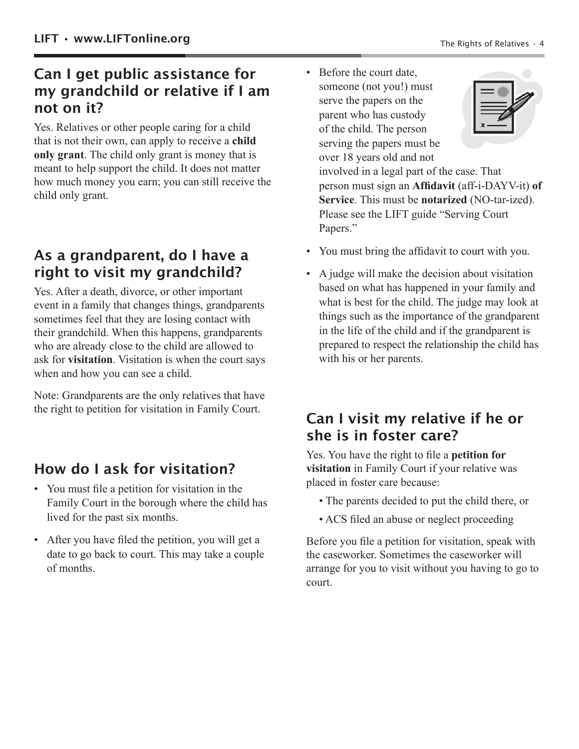#### **Can I get public assistance for my grandchild or relative if I am not on it?**

Yes. Relatives or other people caring for a child that is not their own, can apply to receive a **child only grant**. The child only grant is money that is meant to help support the child. It does not matter how much money you earn; you can still receive the child only grant.

## **As a grandparent, do I have a right to visit my grandchild?**

Yes. After a death, divorce, or other important event in a family that changes things, grandparents sometimes feel that they are losing contact with their grandchild. When this happens, grandparents who are already close to the child are allowed to ask for **visitation**. Visitation is when the court says when and how you can see a child.

Note: Grandparents are the only relatives that have the right to petition for visitation in Family Court.

# **How do I ask for visitation?**

- You must file a petition for visitation in the Family Court in the borough where the child has lived for the past six months.
- After you have filed the petition, you will get a date to go back to court. This may take a couple of months.

• Before the court date, someone (not you!) must serve the papers on the parent who has custody of the child. The person serving the papers must be over 18 years old and not



involved in a legal part of the case. That person must sign an **Affidavit** (aff-i-DAYV-it) **of Service**. This must be **notarized** (NO-tar-ized). Please see the LIFT guide "Serving Court Papers."

- You must bring the affidavit to court with you.
- A judge will make the decision about visitation based on what has happened in your family and what is best for the child. The judge may look at things such as the importance of the grandparent in the life of the child and if the grandparent is prepared to respect the relationship the child has with his or her parents.

## **Can I visit my relative if he or she is in foster care?**

Yes. You have the right to file a **petition for visitation** in Family Court if your relative was placed in foster care because:

- The parents decided to put the child there, or
- ACS filed an abuse or neglect proceeding

Before you file a petition for visitation, speak with the caseworker. Sometimes the caseworker will arrange for you to visit without you having to go to court.